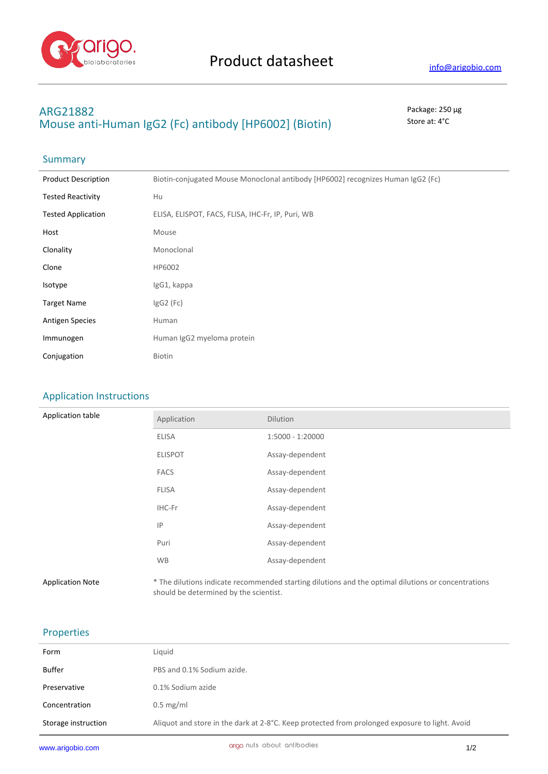

## **ARG21882** Package: 250 μg **Mouse anti-Human IgG2 (Fc) antibody [HP6002] (Biotin)** Store at: 4°C

# Summary

| <b>Product Description</b> | Biotin-conjugated Mouse Monoclonal antibody [HP6002] recognizes Human IgG2 (Fc) |
|----------------------------|---------------------------------------------------------------------------------|
| <b>Tested Reactivity</b>   | Hu                                                                              |
| <b>Tested Application</b>  | ELISA, ELISPOT, FACS, FLISA, IHC-Fr, IP, Puri, WB                               |
| Host                       | Mouse                                                                           |
| Clonality                  | Monoclonal                                                                      |
| Clone                      | HP6002                                                                          |
| Isotype                    | IgG1, kappa                                                                     |
| <b>Target Name</b>         | $lgG2$ (Fc)                                                                     |
| <b>Antigen Species</b>     | Human                                                                           |
| Immunogen                  | Human IgG2 myeloma protein                                                      |
| Conjugation                | <b>Biotin</b>                                                                   |

## Application Instructions

| Application table       | Application                            | Dilution                                                                                            |
|-------------------------|----------------------------------------|-----------------------------------------------------------------------------------------------------|
|                         | <b>ELISA</b>                           | $1:5000 - 1:20000$                                                                                  |
|                         | <b>ELISPOT</b>                         | Assay-dependent                                                                                     |
|                         | <b>FACS</b>                            | Assay-dependent                                                                                     |
|                         | <b>FLISA</b>                           | Assay-dependent                                                                                     |
|                         | IHC-Fr                                 | Assay-dependent                                                                                     |
|                         | IP                                     | Assay-dependent                                                                                     |
|                         | Puri                                   | Assay-dependent                                                                                     |
|                         | <b>WB</b>                              | Assay-dependent                                                                                     |
| <b>Application Note</b> | should be determined by the scientist. | * The dilutions indicate recommended starting dilutions and the optimal dilutions or concentrations |

### Properties

| Form                | Liquid                                                                                         |
|---------------------|------------------------------------------------------------------------------------------------|
| <b>Buffer</b>       | PBS and 0.1% Sodium azide.                                                                     |
| Preservative        | 0.1% Sodium azide                                                                              |
| Concentration       | $0.5$ mg/ml                                                                                    |
| Storage instruction | Aliquot and store in the dark at 2-8°C. Keep protected from prolonged exposure to light. Avoid |